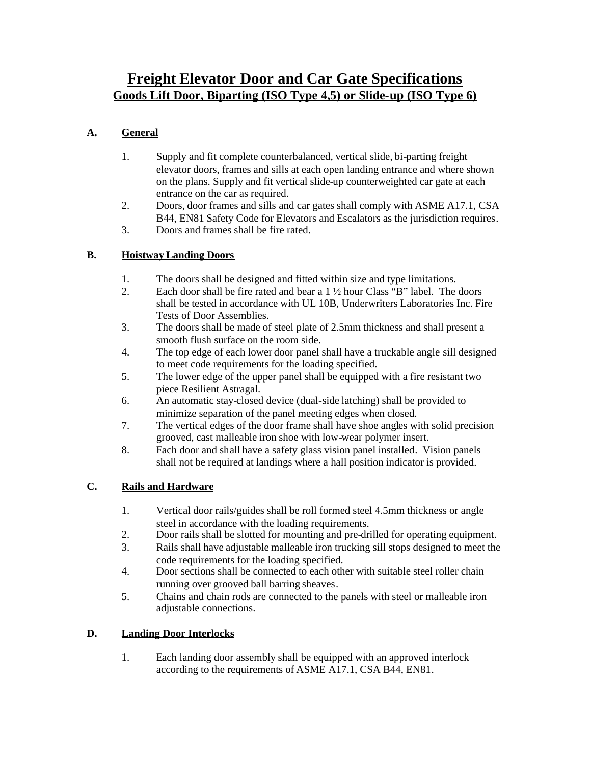# **Freight Elevator Door and Car Gate Specifications Goods Lift Door, Biparting (ISO Type 4,5) or Slide-up (ISO Type 6)**

# **A. General**

- 1. Supply and fit complete counterbalanced, vertical slide, bi-parting freight elevator doors, frames and sills at each open landing entrance and where shown on the plans. Supply and fit vertical slide-up counterweighted car gate at each entrance on the car as required.
- 2. Doors, door frames and sills and car gates shall comply with ASME A17.1, CSA B44, EN81 Safety Code for Elevators and Escalators as the jurisdiction requires.
- 3. Doors and frames shall be fire rated.

# **B. Hoistway Landing Doors**

- 1. The doors shall be designed and fitted within size and type limitations.
- 2. Each door shall be fire rated and bear a 1 ½ hour Class "B" label. The doors shall be tested in accordance with UL 10B, Underwriters Laboratories Inc. Fire Tests of Door Assemblies.
- 3. The doors shall be made of steel plate of 2.5mm thickness and shall present a smooth flush surface on the room side.
- 4. The top edge of each lower door panel shall have a truckable angle sill designed to meet code requirements for the loading specified.
- 5. The lower edge of the upper panel shall be equipped with a fire resistant two piece Resilient Astragal.
- 6. An automatic stay-closed device (dual-side latching) shall be provided to minimize separation of the panel meeting edges when closed.
- 7. The vertical edges of the door frame shall have shoe angles with solid precision grooved, cast malleable iron shoe with low-wear polymer insert.
- 8. Each door and shall have a safety glass vision panel installed. Vision panels shall not be required at landings where a hall position indicator is provided.

# **C. Rails and Hardware**

- 1. Vertical door rails/guides shall be roll formed steel 4.5mm thickness or angle steel in accordance with the loading requirements.
- 2. Door rails shall be slotted for mounting and pre-drilled for operating equipment.
- 3. Rails shall have adjustable malleable iron trucking sill stops designed to meet the code requirements for the loading specified.
- 4. Door sections shall be connected to each other with suitable steel roller chain running over grooved ball barring sheaves.
- 5. Chains and chain rods are connected to the panels with steel or malleable iron adjustable connections.

### **D. Landing Door Interlocks**

1. Each landing door assembly shall be equipped with an approved interlock according to the requirements of ASME A17.1, CSA B44, EN81.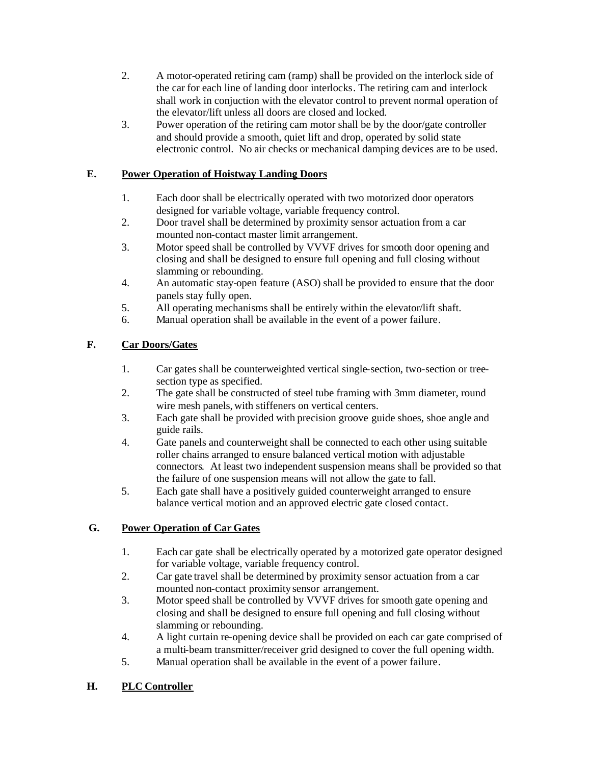- 2. A motor-operated retiring cam (ramp) shall be provided on the interlock side of the car for each line of landing door interlocks. The retiring cam and interlock shall work in conjuction with the elevator control to prevent normal operation of the elevator/lift unless all doors are closed and locked.
- 3. Power operation of the retiring cam motor shall be by the door/gate controller and should provide a smooth, quiet lift and drop, operated by solid state electronic control. No air checks or mechanical damping devices are to be used.

## **E. Power Operation of Hoistway Landing Doors**

- 1. Each door shall be electrically operated with two motorized door operators designed for variable voltage, variable frequency control.
- 2. Door travel shall be determined by proximity sensor actuation from a car mounted non-contact master limit arrangement.
- 3. Motor speed shall be controlled by VVVF drives for smooth door opening and closing and shall be designed to ensure full opening and full closing without slamming or rebounding.
- 4. An automatic stay-open feature (ASO) shall be provided to ensure that the door panels stay fully open.
- 5. All operating mechanisms shall be entirely within the elevator/lift shaft.
- 6. Manual operation shall be available in the event of a power failure.

# **F. Car Doors/Gates**

- 1. Car gates shall be counterweighted vertical single-section, two-section or treesection type as specified.
- 2. The gate shall be constructed of steel tube framing with 3mm diameter, round wire mesh panels, with stiffeners on vertical centers.
- 3. Each gate shall be provided with precision groove guide shoes, shoe angle and guide rails.
- 4. Gate panels and counterweight shall be connected to each other using suitable roller chains arranged to ensure balanced vertical motion with adjustable connectors. At least two independent suspension means shall be provided so that the failure of one suspension means will not allow the gate to fall.
- 5. Each gate shall have a positively guided counterweight arranged to ensure balance vertical motion and an approved electric gate closed contact.

# **G. Power Operation of Car Gates**

- 1. Each car gate shall be electrically operated by a motorized gate operator designed for variable voltage, variable frequency control.
- 2. Car gate travel shall be determined by proximity sensor actuation from a car mounted non-contact proximity sensor arrangement.
- 3. Motor speed shall be controlled by VVVF drives for smooth gate opening and closing and shall be designed to ensure full opening and full closing without slamming or rebounding.
- 4. A light curtain re-opening device shall be provided on each car gate comprised of a multi-beam transmitter/receiver grid designed to cover the full opening width.
- 5. Manual operation shall be available in the event of a power failure.

### **H. PLC Controller**